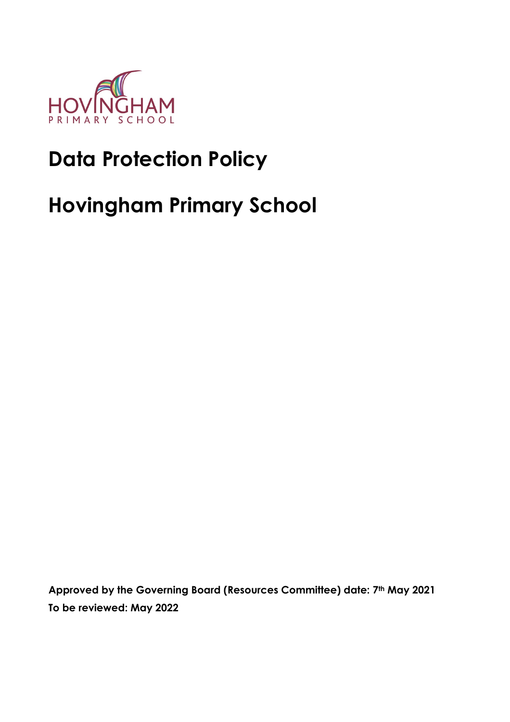

# **Data Protection Policy**

# **Hovingham Primary School**

**Approved by the Governing Board (Resources Committee) date: 7th May 2021 To be reviewed: May 2022**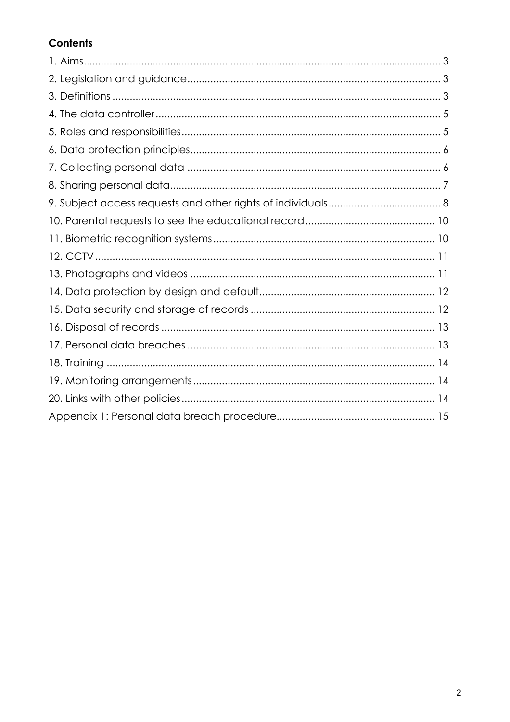## Contents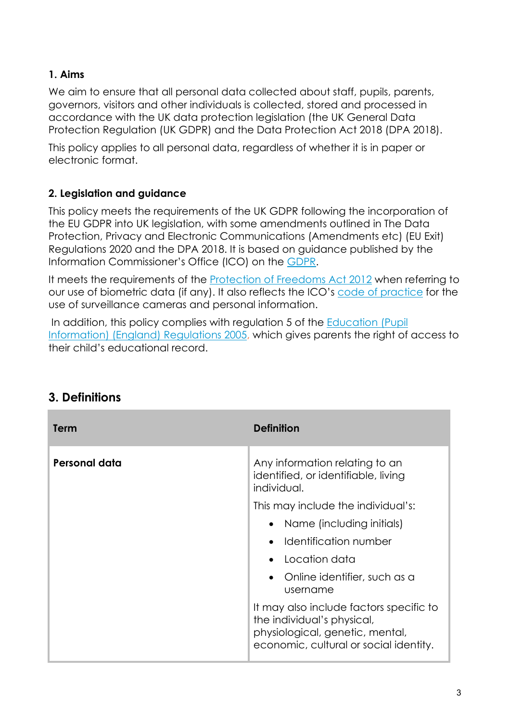#### **1. Aims**

We aim to ensure that all personal data collected about staff, pupils, parents, governors, visitors and other individuals is collected, stored and processed in accordance with the UK data protection legislation (the UK General Data Protection Regulation (UK GDPR) and the Data Protection Act 2018 (DPA 2018).

This policy applies to all personal data, regardless of whether it is in paper or electronic format.

#### **2. Legislation and guidance**

This policy meets the requirements of the UK GDPR following the incorporation of the EU GDPR into UK legislation, with some amendments outlined in The Data Protection, Privacy and Electronic Communications (Amendments etc) (EU Exit) Regulations 2020 and the DPA 2018. It is based on guidance published by the Information Commissioner's Office (ICO) on the [GDPR.](https://ico.org.uk/for-organisations/guide-to-the-general-data-protection-regulation-gdpr/)

It meets the requirements of the [Protection of Freedoms Act 2012](https://www.legislation.gov.uk/ukpga/2012/9/part/1/chapter/2) when referring to our use of biometric data (if any). It also reflects the ICO's [code of practice](https://ico.org.uk/media/for-organisations/documents/1542/cctv-code-of-practice.pdf) for the use of surveillance cameras and personal information.

In addition, this policy complies with regulation 5 of the Education (Pupil) Information) (England) Regulations 2005, which gives parents the right of access to their child's educational record.

| Term          | <b>Definition</b>                                                                                                                                  |
|---------------|----------------------------------------------------------------------------------------------------------------------------------------------------|
| Personal data | Any information relating to an<br>identified, or identifiable, living<br>individual.                                                               |
|               | This may include the individual's:                                                                                                                 |
|               | Name (including initials)<br>$\bullet$                                                                                                             |
|               | Identification number<br>$\bullet$                                                                                                                 |
|               | Location data                                                                                                                                      |
|               | Online identifier, such as a<br>$\bullet$<br>username                                                                                              |
|               | It may also include factors specific to<br>the individual's physical,<br>physiological, genetic, mental,<br>economic, cultural or social identity. |

# **3. Definitions**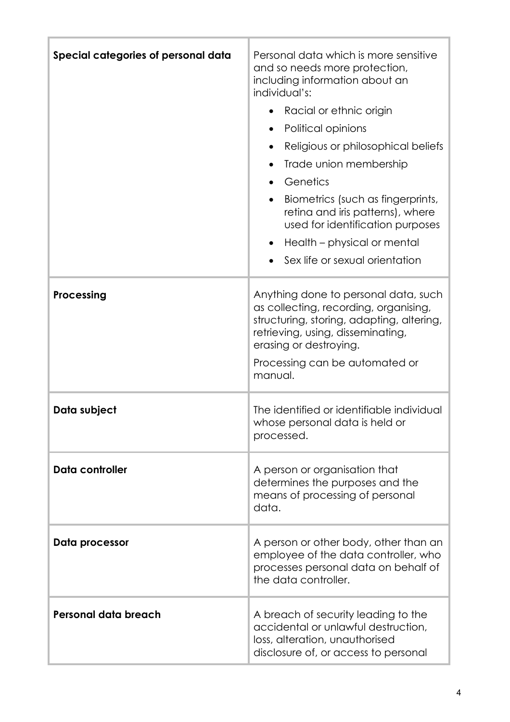| Special categories of personal data | Personal data which is more sensitive<br>and so needs more protection,<br>including information about an<br>individual's:<br>Racial or ethnic origin<br>Political opinions<br>$\bullet$<br>Religious or philosophical beliefs<br>$\bullet$<br>Trade union membership<br>$\bullet$<br>Genetics<br>$\bullet$<br>Biometrics (such as fingerprints,<br>retina and iris patterns), where<br>used for identification purposes<br>Health – physical or mental<br>$\bullet$<br>Sex life or sexual orientation |
|-------------------------------------|-------------------------------------------------------------------------------------------------------------------------------------------------------------------------------------------------------------------------------------------------------------------------------------------------------------------------------------------------------------------------------------------------------------------------------------------------------------------------------------------------------|
| Processing                          | Anything done to personal data, such<br>as collecting, recording, organising,<br>structuring, storing, adapting, altering,<br>retrieving, using, disseminating,<br>erasing or destroying.<br>Processing can be automated or<br>manual.                                                                                                                                                                                                                                                                |
| Data subject                        | The identified or identifiable individual<br>whose personal data is held or<br>processed.                                                                                                                                                                                                                                                                                                                                                                                                             |
| Data controller                     | A person or organisation that<br>determines the purposes and the<br>means of processing of personal<br>data.                                                                                                                                                                                                                                                                                                                                                                                          |
| Data processor                      | A person or other body, other than an<br>employee of the data controller, who<br>processes personal data on behalf of<br>the data controller.                                                                                                                                                                                                                                                                                                                                                         |
| Personal data breach                | A breach of security leading to the<br>accidental or unlawful destruction,<br>loss, alteration, unauthorised<br>disclosure of, or access to personal                                                                                                                                                                                                                                                                                                                                                  |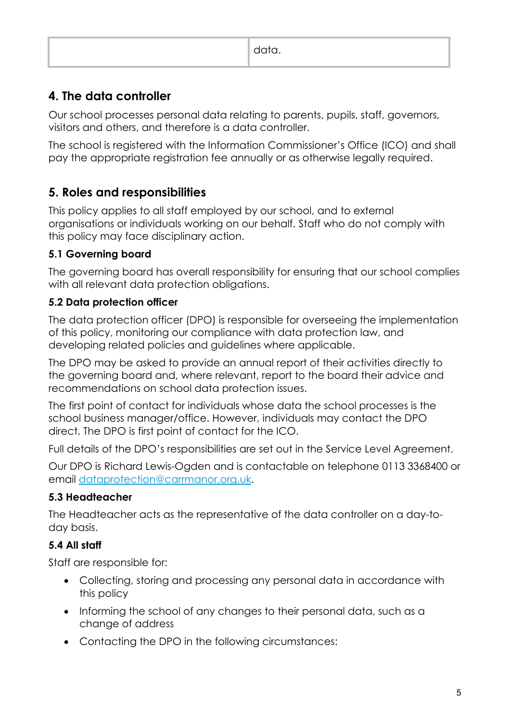| ---- |
|------|
|------|

# **4. The data controller**

Our school processes personal data relating to parents, pupils, staff, governors, visitors and others, and therefore is a data controller.

The school is registered with the Information Commissioner's Office (ICO) and shall pay the appropriate registration fee annually or as otherwise legally required.

# **5. Roles and responsibilities**

This policy applies to all staff employed by our school, and to external organisations or individuals working on our behalf. Staff who do not comply with this policy may face disciplinary action.

## **5.1 Governing board**

The governing board has overall responsibility for ensuring that our school complies with all relevant data protection obligations.

## **5.2 Data protection officer**

The data protection officer (DPO) is responsible for overseeing the implementation of this policy, monitoring our compliance with data protection law, and developing related policies and guidelines where applicable.

The DPO may be asked to provide an annual report of their activities directly to the governing board and, where relevant, report to the board their advice and recommendations on school data protection issues.

The first point of contact for individuals whose data the school processes is the school business manager/office. However, individuals may contact the DPO direct. The DPO is first point of contact for the ICO.

Full details of the DPO's responsibilities are set out in the Service Level Agreement.

Our DPO is Richard Lewis-Ogden and is contactable on telephone 0113 3368400 or email [dataprotection@carrmanor.org.uk.](mailto:dataprotection@carrmanor.org.uk)

## **5.3 Headteacher**

The Headteacher acts as the representative of the data controller on a day-today basis.

## **5.4 All staff**

Staff are responsible for:

- Collecting, storing and processing any personal data in accordance with this policy
- Informing the school of any changes to their personal data, such as a change of address
- Contacting the DPO in the following circumstances: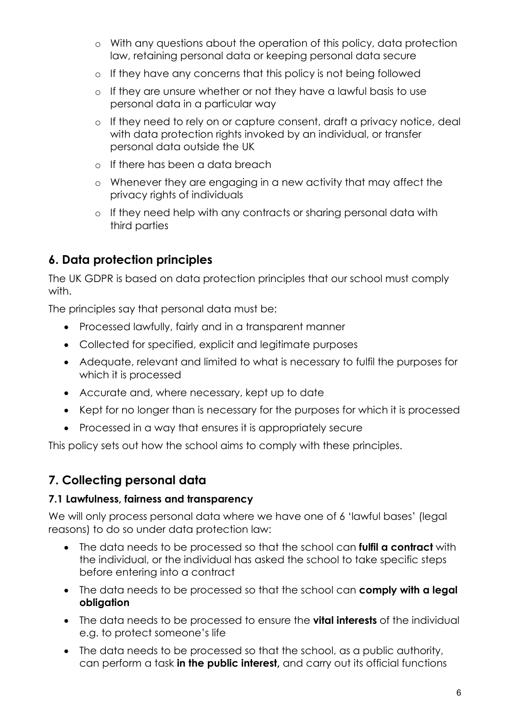- o With any questions about the operation of this policy, data protection law, retaining personal data or keeping personal data secure
- o If they have any concerns that this policy is not being followed
- o If they are unsure whether or not they have a lawful basis to use personal data in a particular way
- o If they need to rely on or capture consent, draft a privacy notice, deal with data protection rights invoked by an individual, or transfer personal data outside the UK
- o If there has been a data breach
- o Whenever they are engaging in a new activity that may affect the privacy rights of individuals
- o If they need help with any contracts or sharing personal data with third parties

# **6. Data protection principles**

The UK GDPR is based on data protection principles that our school must comply with.

The principles say that personal data must be:

- Processed lawfully, fairly and in a transparent manner
- Collected for specified, explicit and legitimate purposes
- Adequate, relevant and limited to what is necessary to fulfil the purposes for which it is processed
- Accurate and, where necessary, kept up to date
- Kept for no longer than is necessary for the purposes for which it is processed
- Processed in a way that ensures it is appropriately secure

This policy sets out how the school aims to comply with these principles.

# **7. Collecting personal data**

#### **7.1 Lawfulness, fairness and transparency**

We will only process personal data where we have one of 6 'lawful bases' (legal reasons) to do so under data protection law:

- The data needs to be processed so that the school can **fulfil a contract** with the individual, or the individual has asked the school to take specific steps before entering into a contract
- The data needs to be processed so that the school can **comply with a legal obligation**
- The data needs to be processed to ensure the **vital interests** of the individual e.g. to protect someone's life
- The data needs to be processed so that the school, as a public authority, can perform a task **in the public interest,** and carry out its official functions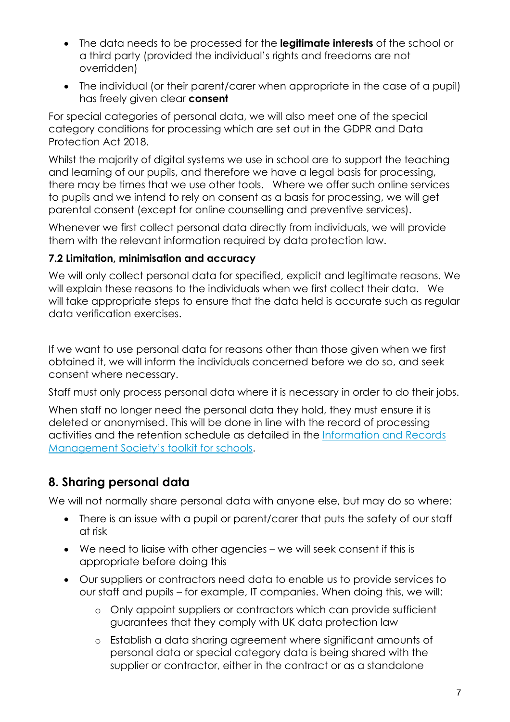- The data needs to be processed for the **legitimate interests** of the school or a third party (provided the individual's rights and freedoms are not overridden)
- The individual (or their parent/carer when appropriate in the case of a pupil) has freely given clear **consent**

For special categories of personal data, we will also meet one of the special category conditions for processing which are set out in the GDPR and Data Protection Act 2018.

Whilst the majority of digital systems we use in school are to support the teaching and learning of our pupils, and therefore we have a legal basis for processing, there may be times that we use other tools. Where we offer such online services to pupils and we intend to rely on consent as a basis for processing, we will get parental consent (except for online counselling and preventive services).

Whenever we first collect personal data directly from individuals, we will provide them with the relevant information required by data protection law.

#### **7.2 Limitation, minimisation and accuracy**

We will only collect personal data for specified, explicit and legitimate reasons. We will explain these reasons to the individuals when we first collect their data. We will take appropriate steps to ensure that the data held is accurate such as regular data verification exercises.

If we want to use personal data for reasons other than those given when we first obtained it, we will inform the individuals concerned before we do so, and seek consent where necessary.

Staff must only process personal data where it is necessary in order to do their jobs.

When staff no longer need the personal data they hold, they must ensure it is deleted or anonymised. This will be done in line with the record of processing activities and the retention schedule as detailed in the [Information and Records](http://irms.org.uk/?page=schoolstoolkit&terms=%22toolkit+and+schools%22)  [Management Society's toolkit for schools.](http://irms.org.uk/?page=schoolstoolkit&terms=%22toolkit+and+schools%22)

# **8. Sharing personal data**

We will not normally share personal data with anyone else, but may do so where:

- There is an issue with a pupil or parent/carer that puts the safety of our staff at risk
- We need to liaise with other agencies we will seek consent if this is appropriate before doing this
- Our suppliers or contractors need data to enable us to provide services to our staff and pupils – for example, IT companies. When doing this, we will:
	- o Only appoint suppliers or contractors which can provide sufficient guarantees that they comply with UK data protection law
	- o Establish a data sharing agreement where significant amounts of personal data or special category data is being shared with the supplier or contractor, either in the contract or as a standalone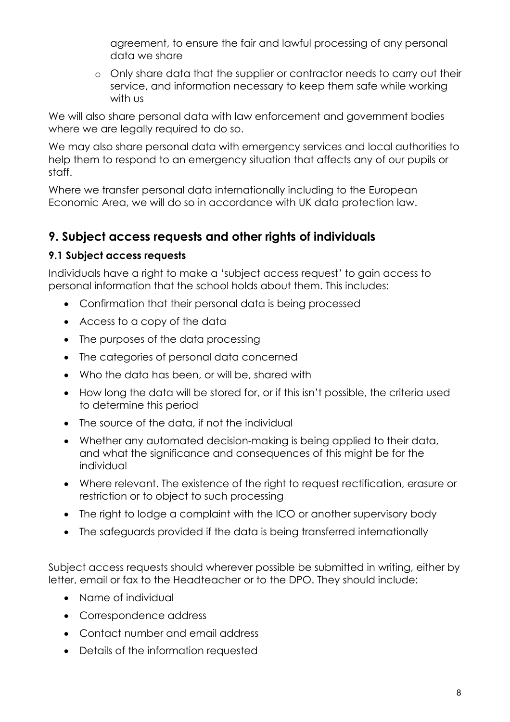agreement, to ensure the fair and lawful processing of any personal data we share

o Only share data that the supplier or contractor needs to carry out their service, and information necessary to keep them safe while working with us

We will also share personal data with law enforcement and government bodies where we are legally required to do so.

We may also share personal data with emergency services and local authorities to help them to respond to an emergency situation that affects any of our pupils or staff.

Where we transfer personal data internationally including to the European Economic Area, we will do so in accordance with UK data protection law.

# **9. Subject access requests and other rights of individuals**

#### **9.1 Subject access requests**

Individuals have a right to make a 'subject access request' to gain access to personal information that the school holds about them. This includes:

- Confirmation that their personal data is being processed
- Access to a copy of the data
- The purposes of the data processing
- The categories of personal data concerned
- Who the data has been, or will be, shared with
- How long the data will be stored for, or if this isn't possible, the criteria used to determine this period
- The source of the data, if not the individual
- Whether any automated decision-making is being applied to their data, and what the significance and consequences of this might be for the individual
- Where relevant. The existence of the right to request rectification, erasure or restriction or to object to such processing
- The right to lodge a complaint with the ICO or another supervisory body
- The safeguards provided if the data is being transferred internationally

Subject access requests should wherever possible be submitted in writing, either by letter, email or fax to the Headteacher or to the DPO. They should include:

- Name of individual
- Correspondence address
- Contact number and email address
- Details of the information requested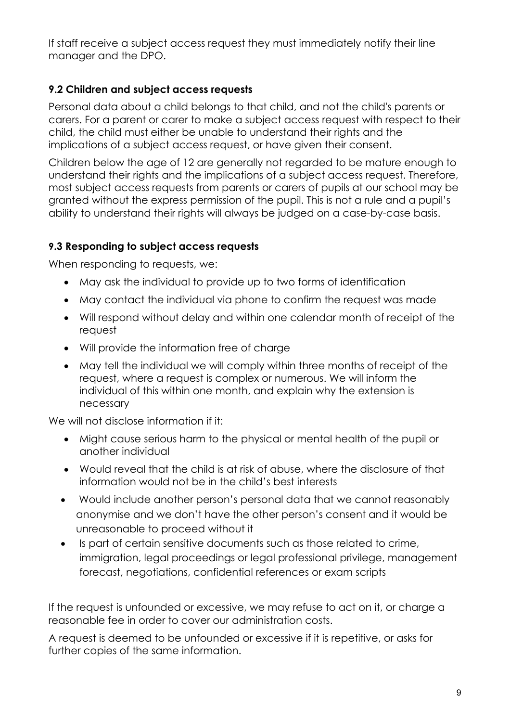If staff receive a subject access request they must immediately notify their line manager and the DPO.

#### **9.2 Children and subject access requests**

Personal data about a child belongs to that child, and not the child's parents or carers. For a parent or carer to make a subject access request with respect to their child, the child must either be unable to understand their rights and the implications of a subject access request, or have given their consent.

Children below the age of 12 are generally not regarded to be mature enough to understand their rights and the implications of a subject access request. Therefore, most subject access requests from parents or carers of pupils at our school may be granted without the express permission of the pupil. This is not a rule and a pupil's ability to understand their rights will always be judged on a case-by-case basis.

#### **9.3 Responding to subject access requests**

When responding to requests, we:

- May ask the individual to provide up to two forms of identification
- May contact the individual via phone to confirm the request was made
- Will respond without delay and within one calendar month of receipt of the request
- Will provide the information free of charge
- May tell the individual we will comply within three months of receipt of the request, where a request is complex or numerous. We will inform the individual of this within one month, and explain why the extension is necessary

We will not disclose information if it:

- Might cause serious harm to the physical or mental health of the pupil or another individual
- Would reveal that the child is at risk of abuse, where the disclosure of that information would not be in the child's best interests
- Would include another person's personal data that we cannot reasonably anonymise and we don't have the other person's consent and it would be unreasonable to proceed without it
- Is part of certain sensitive documents such as those related to crime, immigration, legal proceedings or legal professional privilege, management forecast, negotiations, confidential references or exam scripts

If the request is unfounded or excessive, we may refuse to act on it, or charge a reasonable fee in order to cover our administration costs.

A request is deemed to be unfounded or excessive if it is repetitive, or asks for further copies of the same information.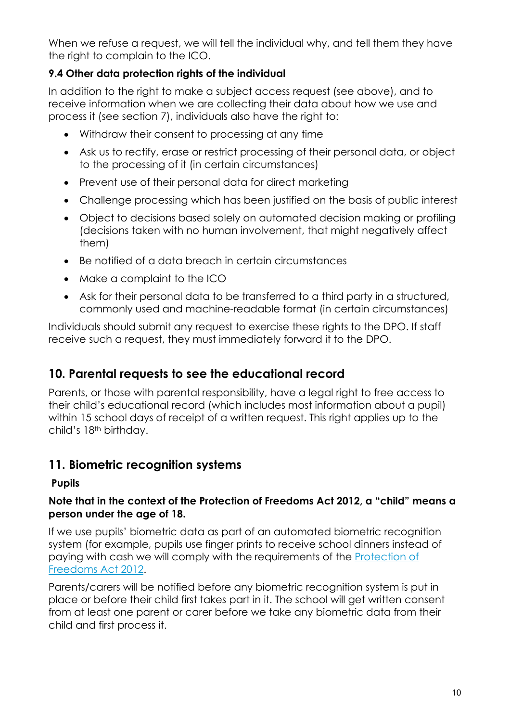When we refuse a request, we will tell the individual why, and tell them they have the right to complain to the ICO.

#### **9.4 Other data protection rights of the individual**

In addition to the right to make a subject access request (see above), and to receive information when we are collecting their data about how we use and process it (see section 7), individuals also have the right to:

- Withdraw their consent to processing at any time
- Ask us to rectify, erase or restrict processing of their personal data, or object to the processing of it (in certain circumstances)
- Prevent use of their personal data for direct marketing
- Challenge processing which has been justified on the basis of public interest
- Object to decisions based solely on automated decision making or profiling (decisions taken with no human involvement, that might negatively affect them)
- Be notified of a data breach in certain circumstances
- Make a complaint to the ICO
- Ask for their personal data to be transferred to a third party in a structured, commonly used and machine-readable format (in certain circumstances)

Individuals should submit any request to exercise these rights to the DPO. If staff receive such a request, they must immediately forward it to the DPO.

## **10. Parental requests to see the educational record**

Parents, or those with parental responsibility, have a legal right to free access to their child's educational record (which includes most information about a pupil) within 15 school days of receipt of a written request. This right applies up to the child's 18th birthday.

## **11. Biometric recognition systems**

#### **Pupils**

#### **Note that in the context of the Protection of Freedoms Act 2012, a "child" means a person under the age of 18.**

If we use pupils' biometric data as part of an automated biometric recognition system (for example, pupils use finger prints to receive school dinners instead of paying with cash we will comply with the requirements of the [Protection of](https://www.legislation.gov.uk/ukpga/2012/9/section/26)  [Freedoms Act 2012.](https://www.legislation.gov.uk/ukpga/2012/9/section/26)

Parents/carers will be notified before any biometric recognition system is put in place or before their child first takes part in it. The school will get written consent from at least one parent or carer before we take any biometric data from their child and first process it.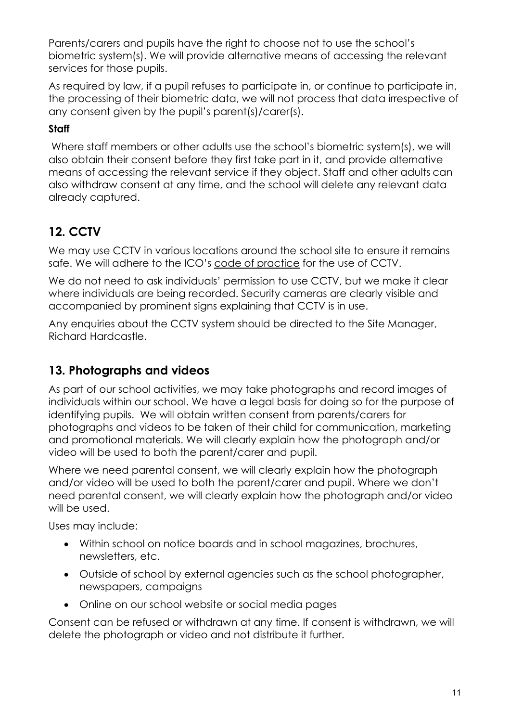Parents/carers and pupils have the right to choose not to use the school's biometric system(s). We will provide alternative means of accessing the relevant services for those pupils.

As required by law, if a pupil refuses to participate in, or continue to participate in, the processing of their biometric data, we will not process that data irrespective of any consent given by the pupil's parent(s)/carer(s).

### **Staff**

Where staff members or other adults use the school's biometric system(s), we will also obtain their consent before they first take part in it, and provide alternative means of accessing the relevant service if they object. Staff and other adults can also withdraw consent at any time, and the school will delete any relevant data already captured.

# **12. CCTV**

We may use CCTV in various locations around the school site to ensure it remains safe. We will adhere to the ICO's [code of practice](https://ico.org.uk/media/for-organisations/documents/1542/cctv-code-of-practice.pdf) for the use of CCTV.

We do not need to ask individuals' permission to use CCTV, but we make it clear where individuals are being recorded. Security cameras are clearly visible and accompanied by prominent signs explaining that CCTV is in use.

Any enquiries about the CCTV system should be directed to the Site Manager, Richard Hardcastle.

# **13. Photographs and videos**

As part of our school activities, we may take photographs and record images of individuals within our school. We have a legal basis for doing so for the purpose of identifying pupils. We will obtain written consent from parents/carers for photographs and videos to be taken of their child for communication, marketing and promotional materials. We will clearly explain how the photograph and/or video will be used to both the parent/carer and pupil.

Where we need parental consent, we will clearly explain how the photograph and/or video will be used to both the parent/carer and pupil. Where we don't need parental consent, we will clearly explain how the photograph and/or video will be used.

Uses may include:

- Within school on notice boards and in school magazines, brochures, newsletters, etc.
- Outside of school by external agencies such as the school photographer, newspapers, campaigns
- Online on our school website or social media pages

Consent can be refused or withdrawn at any time. If consent is withdrawn, we will delete the photograph or video and not distribute it further.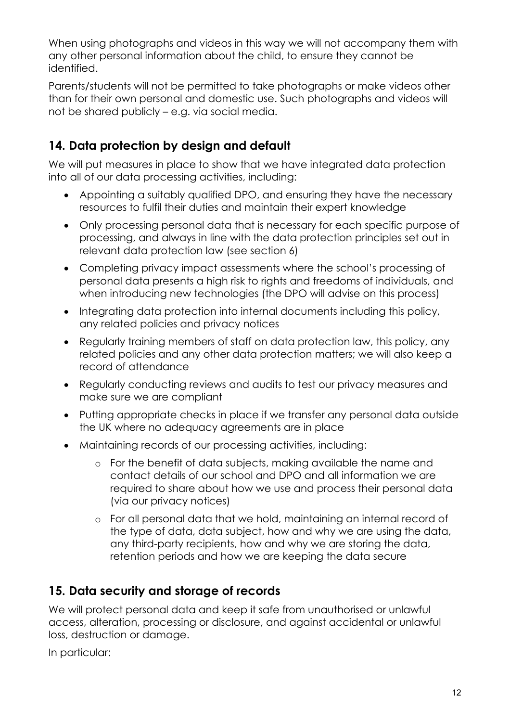When using photographs and videos in this way we will not accompany them with any other personal information about the child, to ensure they cannot be identified.

Parents/students will not be permitted to take photographs or make videos other than for their own personal and domestic use. Such photographs and videos will not be shared publicly – e.g. via social media.

## **14. Data protection by design and default**

We will put measures in place to show that we have integrated data protection into all of our data processing activities, including:

- Appointing a suitably qualified DPO, and ensuring they have the necessary resources to fulfil their duties and maintain their expert knowledge
- Only processing personal data that is necessary for each specific purpose of processing, and always in line with the data protection principles set out in relevant data protection law (see section 6)
- Completing privacy impact assessments where the school's processing of personal data presents a high risk to rights and freedoms of individuals, and when introducing new technologies (the DPO will advise on this process)
- Integrating data protection into internal documents including this policy, any related policies and privacy notices
- Regularly training members of staff on data protection law, this policy, any related policies and any other data protection matters; we will also keep a record of attendance
- Regularly conducting reviews and audits to test our privacy measures and make sure we are compliant
- Putting appropriate checks in place if we transfer any personal data outside the UK where no adequacy agreements are in place
- Maintaining records of our processing activities, including:
	- o For the benefit of data subjects, making available the name and contact details of our school and DPO and all information we are required to share about how we use and process their personal data (via our privacy notices)
	- o For all personal data that we hold, maintaining an internal record of the type of data, data subject, how and why we are using the data, any third-party recipients, how and why we are storing the data, retention periods and how we are keeping the data secure

## **15. Data security and storage of records**

We will protect personal data and keep it safe from unauthorised or unlawful access, alteration, processing or disclosure, and against accidental or unlawful loss, destruction or damage.

In particular: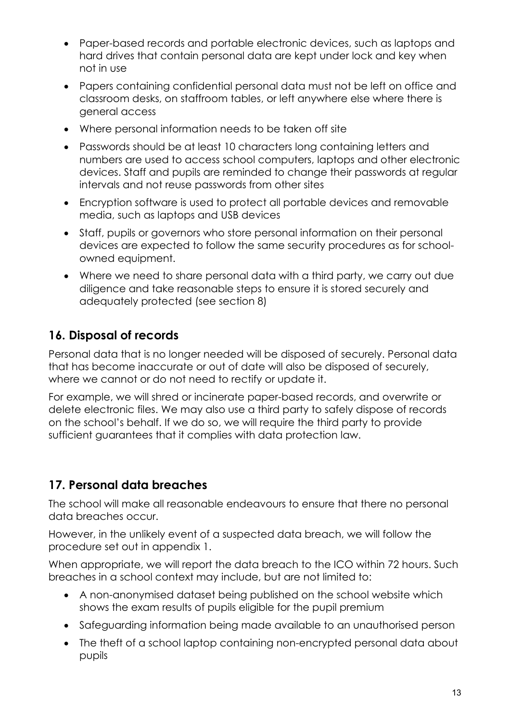- Paper-based records and portable electronic devices, such as laptops and hard drives that contain personal data are kept under lock and key when not in use
- Papers containing confidential personal data must not be left on office and classroom desks, on staffroom tables, or left anywhere else where there is general access
- Where personal information needs to be taken off site
- Passwords should be at least 10 characters long containing letters and numbers are used to access school computers, laptops and other electronic devices. Staff and pupils are reminded to change their passwords at regular intervals and not reuse passwords from other sites
- Encryption software is used to protect all portable devices and removable media, such as laptops and USB devices
- Staff, pupils or governors who store personal information on their personal devices are expected to follow the same security procedures as for schoolowned equipment.
- Where we need to share personal data with a third party, we carry out due diligence and take reasonable steps to ensure it is stored securely and adequately protected (see section 8)

# **16. Disposal of records**

Personal data that is no longer needed will be disposed of securely. Personal data that has become inaccurate or out of date will also be disposed of securely, where we cannot or do not need to rectify or update it.

For example, we will shred or incinerate paper-based records, and overwrite or delete electronic files. We may also use a third party to safely dispose of records on the school's behalf. If we do so, we will require the third party to provide sufficient guarantees that it complies with data protection law.

# **17. Personal data breaches**

The school will make all reasonable endeavours to ensure that there no personal data breaches occur.

However, in the unlikely event of a suspected data breach, we will follow the procedure set out in appendix 1.

When appropriate, we will report the data breach to the ICO within 72 hours. Such breaches in a school context may include, but are not limited to:

- A non-anonymised dataset being published on the school website which shows the exam results of pupils eligible for the pupil premium
- Safeguarding information being made available to an unauthorised person
- The theft of a school laptop containing non-encrypted personal data about pupils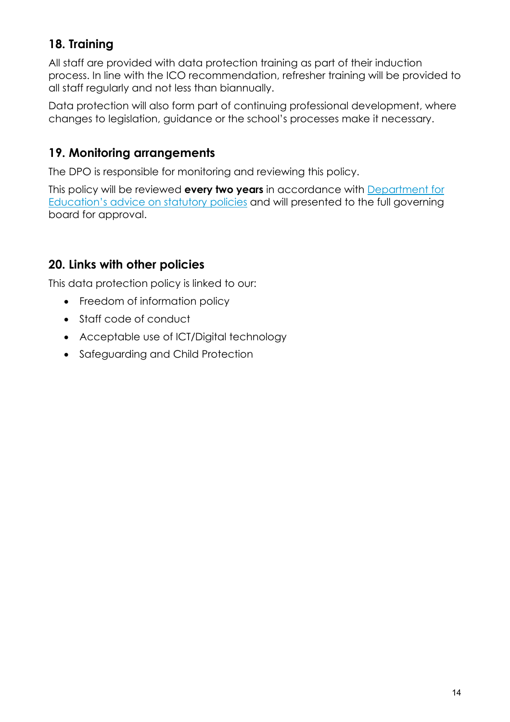# **18. Training**

All staff are provided with data protection training as part of their induction process. In line with the ICO recommendation, refresher training will be provided to all staff regularly and not less than biannually.

Data protection will also form part of continuing professional development, where changes to legislation, guidance or the school's processes make it necessary.

## **19. Monitoring arrangements**

The DPO is responsible for monitoring and reviewing this policy.

This policy will be reviewed **every two years** in accordance with [Department for](https://www.gov.uk/government/publications/statutory-policies-for-schools)  [Education's advice on statutory policies](https://www.gov.uk/government/publications/statutory-policies-for-schools) and will presented to the full governing board for approval.

# **20. Links with other policies**

This data protection policy is linked to our:

- Freedom of information policy
- Staff code of conduct
- Acceptable use of ICT/Digital technology
- Safeguarding and Child Protection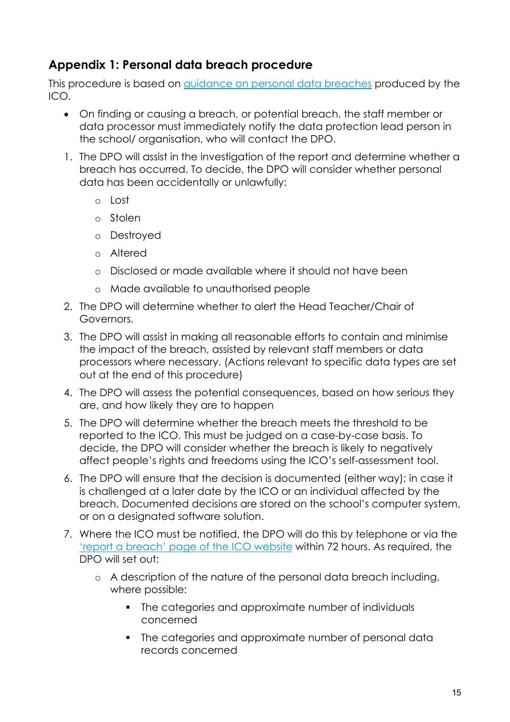## **Appendix 1: Personal data breach procedure**

This procedure is based on guidance on personal data breaches produced by the ICO.

- On finding or causing a breach, or potential breach, the staff member or data processor must immediately notify the data protection lead person in the school/ organisation, who will contact the DPO.
- 1. The DPO will assist in the investigation of the report and determine whether a breach has occurred. To decide, the DPO will consider whether personal data has been accidentally or unlawfully:
	- o Lost
	- o Stolen
	- o Destroyed
	- o Altered
	- o Disclosed or made available where it should not have been
	- o Made available to unauthorised people
- 2. The DPO will determine whether to alert the Head Teacher/Chair of Governors.
- 3. The DPO will assist in making all reasonable efforts to contain and minimise the impact of the breach, assisted by relevant staff members or data processors where necessary. (Actions relevant to specific data types are set out at the end of this procedure)
- 4. The DPO will assess the potential consequences, based on how serious they are, and how likely they are to happen
- 5. The DPO will determine whether the breach meets the threshold to be reported to the ICO. This must be judged on a case-by-case basis. To decide, the DPO will consider whether the breach is likely to negatively affect people's rights and freedoms using the ICO's self-assessment tool.
- 6. The DPO will ensure that the decision is documented (either way); in case it is challenged at a later date by the ICO or an individual affected by the breach. Documented decisions are stored on the school's computer system, or on a designated software solution.
- 7. Where the ICO must be notified, the DPO will do this by telephone or via the 'report a breach' page of the ICO website within 72 hours. As required, the DPO will set out:
	- o A description of the nature of the personal data breach including, where possible:
		- The categories and approximate number of individuals concerned
		- The categories and approximate number of personal data records concerned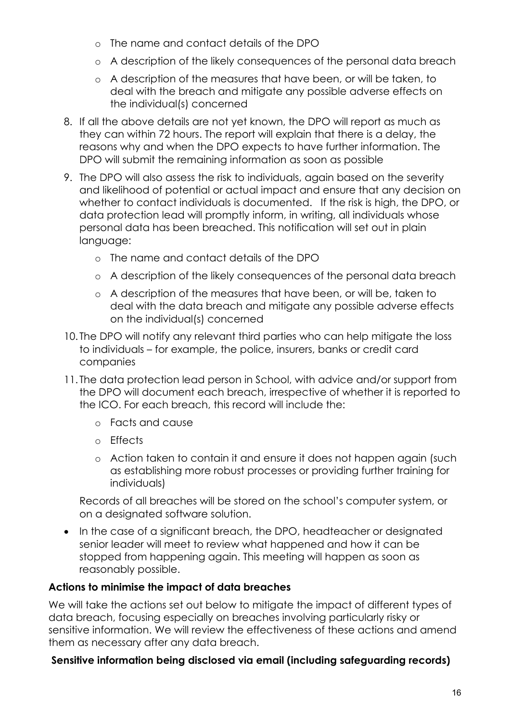- o The name and contact details of the DPO
- o A description of the likely consequences of the personal data breach
- o A description of the measures that have been, or will be taken, to deal with the breach and mitigate any possible adverse effects on the individual(s) concerned
- 8. If all the above details are not yet known, the DPO will report as much as they can within 72 hours. The report will explain that there is a delay, the reasons why and when the DPO expects to have further information. The DPO will submit the remaining information as soon as possible
- 9. The DPO will also assess the risk to individuals, again based on the severity and likelihood of potential or actual impact and ensure that any decision on whether to contact individuals is documented. If the risk is high, the DPO, or data protection lead will promptly inform, in writing, all individuals whose personal data has been breached. This notification will set out in plain language:
	- o The name and contact details of the DPO
	- o A description of the likely consequences of the personal data breach
	- o A description of the measures that have been, or will be, taken to deal with the data breach and mitigate any possible adverse effects on the individual(s) concerned
- 10. The DPO will notify any relevant third parties who can help mitigate the loss to individuals – for example, the police, insurers, banks or credit card companies
- 11. The data protection lead person in School, with advice and/or support from the DPO will document each breach, irrespective of whether it is reported to the ICO. For each breach, this record will include the:
	- o Facts and cause
	- o Effects
	- o Action taken to contain it and ensure it does not happen again (such as establishing more robust processes or providing further training for individuals)

Records of all breaches will be stored on the school's computer system, or on a designated software solution.

• In the case of a significant breach, the DPO, headteacher or designated senior leader will meet to review what happened and how it can be stopped from happening again. This meeting will happen as soon as reasonably possible.

#### **Actions to minimise the impact of data breaches**

We will take the actions set out below to mitigate the impact of different types of data breach, focusing especially on breaches involving particularly risky or sensitive information. We will review the effectiveness of these actions and amend them as necessary after any data breach.

#### **Sensitive information being disclosed via email (including safeguarding records)**